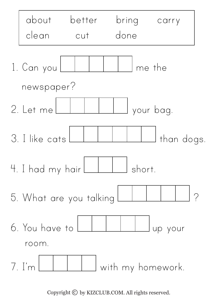

Copyright  $\odot$  by KIZCLUB.COM. All rights reserved.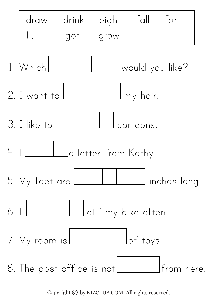

Copyright  $\odot$  by KIZCLUB.COM. All rights reserved.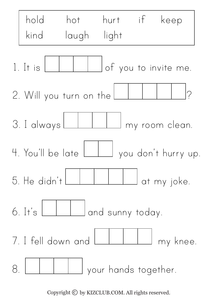

Copyright  $\odot$  by KIZCLUB.COM. All rights reserved.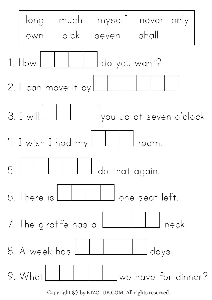